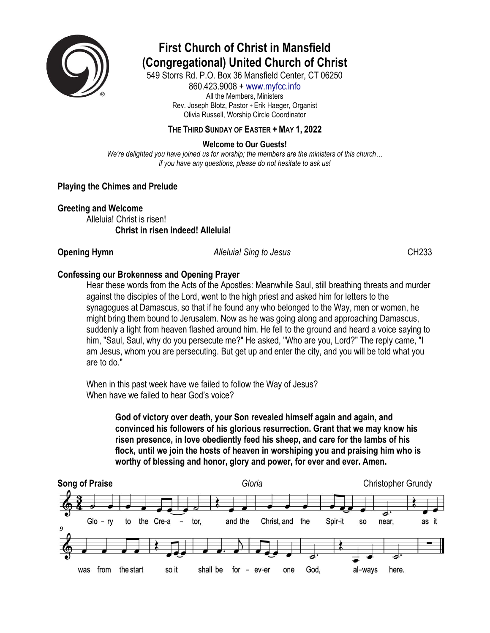

# **First Church of Christ in Mansfield (Congregational) United Church of Christ**

549 Storrs Rd. P.O. Box 36 Mansfield Center, CT 06250

860.423.9008 + [www.myfcc.info](http://www.myfcc.info/) All the Members, Ministers Rev. Joseph Blotz, Pastor + Erik Haeger, Organist Olivia Russell, Worship Circle Coordinator

## **THE THIRD SUNDAY OF EASTER + MAY 1, 2022**

### **Welcome to Our Guests!**

*We're delighted you have joined us for worship; the members are the ministers of this church… if you have any questions, please do not hesitate to ask us!*

# **Playing the Chimes and Prelude**

### **Greeting and Welcome**

Alleluia! Christ is risen! **Christ in risen indeed! Alleluia!**

**Opening Hymn** *Alleluia! Sing to Jesus* CH233

## **Confessing our Brokenness and Opening Prayer**

Hear these words from the Acts of the Apostles: Meanwhile Saul, still breathing threats and murder against the disciples of the Lord, went to the high priest and asked him for letters to the synagogues at Damascus, so that if he found any who belonged to the Way, men or women, he might bring them bound to Jerusalem. Now as he was going along and approaching Damascus, suddenly a light from heaven flashed around him. He fell to the ground and heard a voice saying to him, "Saul, Saul, why do you persecute me?" He asked, "Who are you, Lord?" The reply came, "I am Jesus, whom you are persecuting. But get up and enter the city, and you will be told what you are to do."

When in this past week have we failed to follow the Way of Jesus? When have we failed to hear God's voice?

> **God of victory over death, your Son revealed himself again and again, and convinced his followers of his glorious resurrection. Grant that we may know his risen presence, in love obediently feed his sheep, and care for the lambs of his flock, until we join the hosts of heaven in worshiping you and praising him who is worthy of blessing and honor, glory and power, for ever and ever. Amen.**

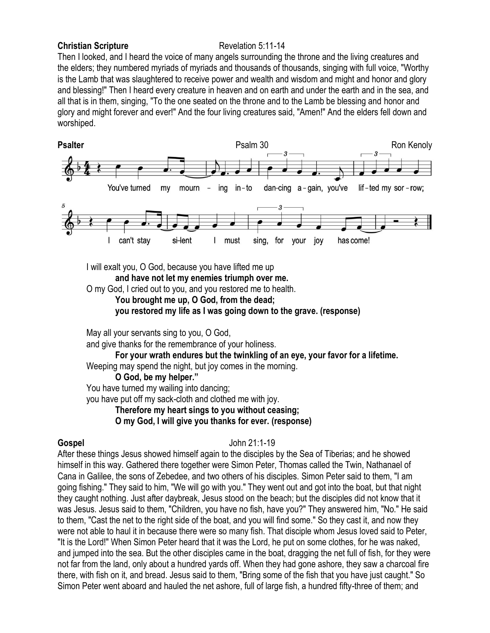### **Christian Scripture** Revelation 5:11-14

Then I looked, and I heard the voice of many angels surrounding the throne and the living creatures and the elders; they numbered myriads of myriads and thousands of thousands, singing with full voice, "Worthy is the Lamb that was slaughtered to receive power and wealth and wisdom and might and honor and glory and blessing!" Then I heard every creature in heaven and on earth and under the earth and in the sea, and all that is in them, singing, "To the one seated on the throne and to the Lamb be blessing and honor and glory and might forever and ever!" And the four living creatures said, "Amen!" And the elders fell down and worshiped.



I will exalt you, O God, because you have lifted me up **and have not let my enemies triumph over me.** O my God, I cried out to you, and you restored me to health. **You brought me up, O God, from the dead; you restored my life as I was going down to the grave. (response)**

May all your servants sing to you, O God,

and give thanks for the remembrance of your holiness.

**For your wrath endures but the twinkling of an eye, your favor for a lifetime.**

Weeping may spend the night, but joy comes in the morning.

**O God, be my helper."**

You have turned my wailing into dancing;

you have put off my sack-cloth and clothed me with joy.

**Therefore my heart sings to you without ceasing; O my God, I will give you thanks for ever. (response)**

**Gospel** John 21:1-19

After these things Jesus showed himself again to the disciples by the Sea of Tiberias; and he showed himself in this way. Gathered there together were Simon Peter, Thomas called the Twin, Nathanael of Cana in Galilee, the sons of Zebedee, and two others of his disciples. Simon Peter said to them, "I am going fishing." They said to him, "We will go with you." They went out and got into the boat, but that night they caught nothing. Just after daybreak, Jesus stood on the beach; but the disciples did not know that it was Jesus. Jesus said to them, "Children, you have no fish, have you?" They answered him, "No." He said to them, "Cast the net to the right side of the boat, and you will find some." So they cast it, and now they were not able to haul it in because there were so many fish. That disciple whom Jesus loved said to Peter, "It is the Lord!" When Simon Peter heard that it was the Lord, he put on some clothes, for he was naked, and jumped into the sea. But the other disciples came in the boat, dragging the net full of fish, for they were not far from the land, only about a hundred yards off. When they had gone ashore, they saw a charcoal fire there, with fish on it, and bread. Jesus said to them, "Bring some of the fish that you have just caught." So Simon Peter went aboard and hauled the net ashore, full of large fish, a hundred fifty-three of them; and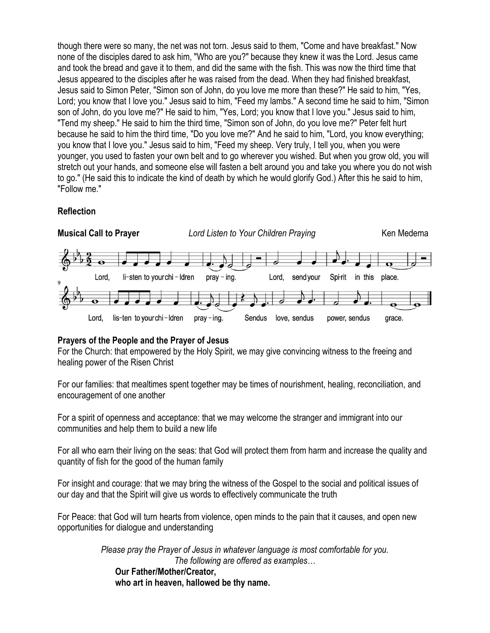though there were so many, the net was not torn. Jesus said to them, "Come and have breakfast." Now none of the disciples dared to ask him, "Who are you?" because they knew it was the Lord. Jesus came and took the bread and gave it to them, and did the same with the fish. This was now the third time that Jesus appeared to the disciples after he was raised from the dead. When they had finished breakfast, Jesus said to Simon Peter, "Simon son of John, do you love me more than these?" He said to him, "Yes, Lord; you know that I love you." Jesus said to him, "Feed my lambs." A second time he said to him, "Simon son of John, do you love me?" He said to him, "Yes, Lord; you know that I love you." Jesus said to him, "Tend my sheep." He said to him the third time, "Simon son of John, do you love me?" Peter felt hurt because he said to him the third time, "Do you love me?" And he said to him, "Lord, you know everything; you know that I love you." Jesus said to him, "Feed my sheep. Very truly, I tell you, when you were younger, you used to fasten your own belt and to go wherever you wished. But when you grow old, you will stretch out your hands, and someone else will fasten a belt around you and take you where you do not wish to go." (He said this to indicate the kind of death by which he would glorify God.) After this he said to him, "Follow me."

# **Reflection**



## **Prayers of the People and the Prayer of Jesus**

For the Church: that empowered by the Holy Spirit, we may give convincing witness to the freeing and healing power of the Risen Christ

For our families: that mealtimes spent together may be times of nourishment, healing, reconciliation, and encouragement of one another

For a spirit of openness and acceptance: that we may welcome the stranger and immigrant into our communities and help them to build a new life

For all who earn their living on the seas: that God will protect them from harm and increase the quality and quantity of fish for the good of the human family

For insight and courage: that we may bring the witness of the Gospel to the social and political issues of our day and that the Spirit will give us words to effectively communicate the truth

For Peace: that God will turn hearts from violence, open minds to the pain that it causes, and open new opportunities for dialogue and understanding

> *Please pray the Prayer of Jesus in whatever language is most comfortable for you. The following are offered as examples…* **Our Father/Mother/Creator,**

**who art in heaven, hallowed be thy name.**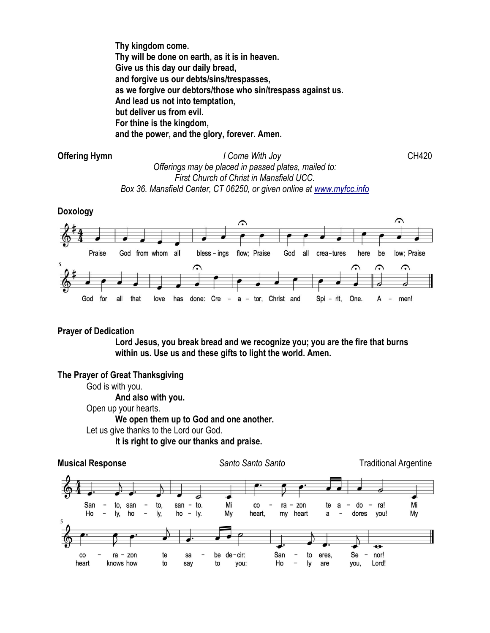**Thy kingdom come. Thy will be done on earth, as it is in heaven. Give us this day our daily bread, and forgive us our debts/sins/trespasses, as we forgive our debtors/those who sin/trespass against us. And lead us not into temptation, but deliver us from evil. For thine is the kingdom, and the power, and the glory, forever. Amen.**

# **Offering Hymn** *I Come With Joy* CH420 *Offerings may be placed in passed plates, mailed to: First Church of Christ in Mansfield UCC. Box 36. Mansfield Center, CT 06250, or given online at [www.myfcc.info](http://www.myfcc.info/)*



### **Prayer of Dedication**

**Lord Jesus, you break bread and we recognize you; you are the fire that burns within us. Use us and these gifts to light the world. Amen.**

### **The Prayer of Great Thanksgiving**

God is with you.

**And also with you.**

Open up your hearts.

**We open them up to God and one another.**

Let us give thanks to the Lord our God.

**It is right to give our thanks and praise.**